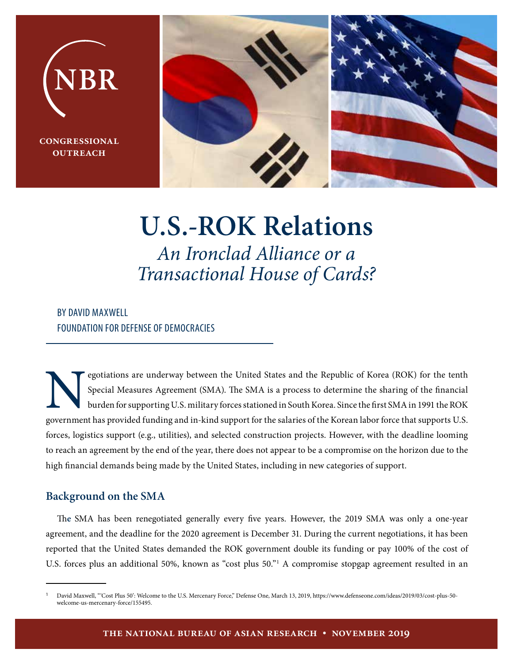

 $\overline{\text{CONGRESSIONAL}}$ **butreach** 



# **U.S.-ROK Relations** *An Ironclad Alliance or a Transactional House of Cards?*

# BY DAVID MAXWELL FOUNDATION FOR DEFENSE OF DEMOCRACIES

Special Measures Agreement (SMA). The SMA is a process to determine the sharing of the financial<br>burden for supporting U.S. military forces stationed in South Korea. Since the first SMA in 1991 the ROK<br>government has provi Special Measures Agreement (SMA). The SMA is a process to determine the sharing of the financial burden for supporting U.S. military forces stationed in South Korea. Since the first SMA in 1991 the ROK government has provided funding and in-kind support for the salaries of the Korean labor force that supports U.S. forces, logistics support (e.g., utilities), and selected construction projects. However, with the deadline looming to reach an agreement by the end of the year, there does not appear to be a compromise on the horizon due to the high financial demands being made by the United States, including in new categories of support.

# **Background on the SMA**

Th**e** SMA has been renegotiated generally every five years. However, the 2019 SMA was only a one-year agreement, and the deadline for the 2020 agreement is December 31. During the current negotiations, it has been reported that the United States demanded the ROK government double its funding or pay 100% of the cost of U.S. forces plus an additional 50%, known as "cost plus 50."<sup>1</sup> A compromise stopgap agreement resulted in an

<sup>1</sup>David Maxwell, "'Cost Plus 50': Welcome to the U.S. Mercenary Force," Defense One, March 13, 2019, https://www.defenseone.com/ideas/2019/03/cost-plus-50 welcome-us-mercenary-force/155495.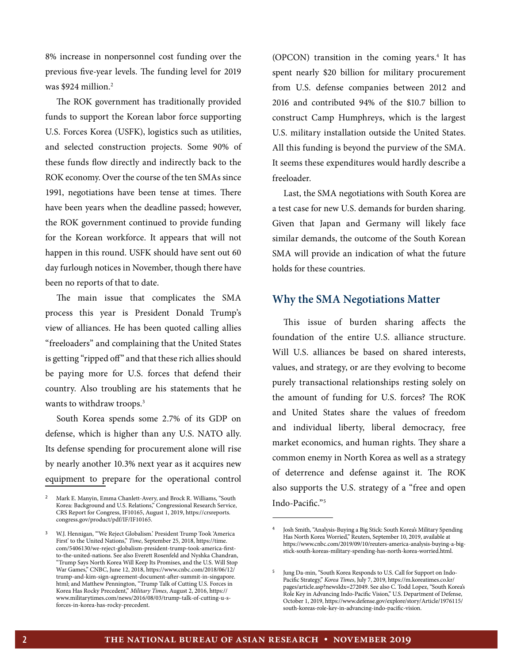8% increase in nonpersonnel cost funding over the previous five-year levels. The funding level for 2019 was \$924 million.<sup>2</sup>

The ROK government has traditionally provided funds to support the Korean labor force supporting U.S. Forces Korea (USFK), logistics such as utilities, and selected construction projects. Some 90% of these funds flow directly and indirectly back to the ROK economy. Over the course of the ten SMAs since 1991, negotiations have been tense at times. There have been years when the deadline passed; however, the ROK government continued to provide funding for the Korean workforce. It appears that will not happen in this round. USFK should have sent out 60 day furlough notices in November, though there have been no reports of that to date.

The main issue that complicates the SMA process this year is President Donald Trump's view of alliances. He has been quoted calling allies "freeloaders" and complaining that the United States is getting "ripped off" and that these rich allies should be paying more for U.S. forces that defend their country. Also troubling are his statements that he wants to withdraw troops.<sup>3</sup>

South Korea spends some 2.7% of its GDP on defense, which is higher than any U.S. NATO ally. Its defense spending for procurement alone will rise by nearly another 10.3% next year as it acquires new equipment to prepare for the operational control

(OPCON) transition in the coming years.<sup>4</sup> It has spent nearly \$20 billion for military procurement from U.S. defense companies between 2012 and 2016 and contributed 94% of the \$10.7 billion to construct Camp Humphreys, which is the largest U.S. military installation outside the United States. All this funding is beyond the purview of the SMA. It seems these expenditures would hardly describe a freeloader.

Last, the SMA negotiations with South Korea are a test case for new U.S. demands for burden sharing. Given that Japan and Germany will likely face similar demands, the outcome of the South Korean SMA will provide an indication of what the future holds for these countries.

### **Why the SMA Negotiations Matter**

This issue of burden sharing affects the foundation of the entire U.S. alliance structure. Will U.S. alliances be based on shared interests, values, and strategy, or are they evolving to become purely transactional relationships resting solely on the amount of funding for U.S. forces? The ROK and United States share the values of freedom and individual liberty, liberal democracy, free market economics, and human rights. They share a common enemy in North Korea as well as a strategy of deterrence and defense against it. The ROK also supports the U.S. strategy of a "free and open Indo-Pacific."5

<sup>&</sup>lt;sup>2</sup> Mark E. Manyin, Emma Chanlett-Avery, and Brock R. Williams, "South Korea: Background and U.S. Relations," Congressional Research Service, CRS Report for Congress, IF10165, August 1, 2019, https://crsreports. congress.gov/product/pdf/IF/IF10165.

<sup>3</sup>W.J. Hennigan, "'We Reject Globalism.' President Trump Took 'America First' to the United Nations," *Time*, September 25, 2018, https://time. com/5406130/we-reject-globalism-president-trump-took-america-firstto-the-united-nations. See also Everett Rosenfeld and Nyshka Chandran, "Trump Says North Korea Will Keep Its Promises, and the U.S. Will Stop War Games," CNBC, June 12, 2018, https://www.cnbc.com/2018/06/12/ trump-and-kim-sign-agreement-document-after-summit-in-singapore. html; and Matthew Pennington, "Trump Talk of Cutting U.S. Forces in Korea Has Rocky Precedent," *Military Times*, August 2, 2016, https:// www.militarytimes.com/news/2016/08/03/trump-talk-of-cutting-u-sforces-in-korea-has-rocky-precedent.

<sup>4</sup>Josh Smith, "Analysis-Buying a Big Stick: South Korea's Military Spending Has North Korea Worried," Reuters, September 10, 2019, available at https://www.cnbc.com/2019/09/10/reuters-america-analysis-buying-a-bigstick-south-koreas-military-spending-has-north-korea-worried.html.

<sup>&</sup>lt;sup>5</sup> Jung Da-min, "South Korea Responds to U.S. Call for Support on Indo-Pacific Strategy," *Korea Times*, July 7, 2019, https://m.koreatimes.co.kr/ pages/article.asp?newsIdx=272049. See also C. Todd Lopez, "South Korea's Role Key in Advancing Indo-Pacific Vision," U.S. Department of Defense, October 1, 2019, https://www.defense.gov/explore/story/Article/1976115/ south-koreas-role-key-in-advancing-indo-pacific-vision.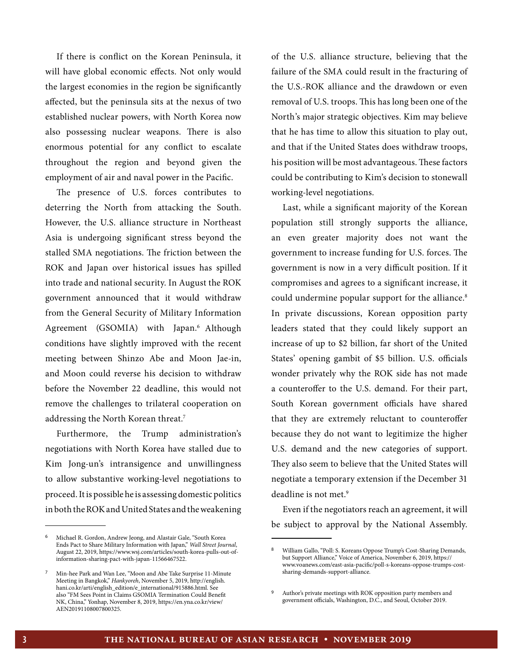If there is conflict on the Korean Peninsula, it will have global economic effects. Not only would the largest economies in the region be significantly affected, but the peninsula sits at the nexus of two established nuclear powers, with North Korea now also possessing nuclear weapons. There is also enormous potential for any conflict to escalate throughout the region and beyond given the employment of air and naval power in the Pacific.

The presence of U.S. forces contributes to deterring the North from attacking the South. However, the U.S. alliance structure in Northeast Asia is undergoing significant stress beyond the stalled SMA negotiations. The friction between the ROK and Japan over historical issues has spilled into trade and national security. In August the ROK government announced that it would withdraw from the General Security of Military Information Agreement (GSOMIA) with Japan.<sup>6</sup> Although conditions have slightly improved with the recent meeting between Shinzo Abe and Moon Jae-in, and Moon could reverse his decision to withdraw before the November 22 deadline, this would not remove the challenges to trilateral cooperation on addressing the North Korean threat.7

Furthermore, the Trump administration's negotiations with North Korea have stalled due to Kim Jong-un's intransigence and unwillingness to allow substantive working-level negotiations to proceed. It is possible he is assessing domestic politics in both the ROK and United States and the weakening of the U.S. alliance structure, believing that the failure of the SMA could result in the fracturing of the U.S.-ROK alliance and the drawdown or even removal of U.S. troops. This has long been one of the North's major strategic objectives. Kim may believe that he has time to allow this situation to play out, and that if the United States does withdraw troops, his position will be most advantageous. These factors could be contributing to Kim's decision to stonewall working-level negotiations.

Last, while a significant majority of the Korean population still strongly supports the alliance, an even greater majority does not want the government to increase funding for U.S. forces. The government is now in a very difficult position. If it compromises and agrees to a significant increase, it could undermine popular support for the alliance.<sup>8</sup> In private discussions, Korean opposition party leaders stated that they could likely support an increase of up to \$2 billion, far short of the United States' opening gambit of \$5 billion. U.S. officials wonder privately why the ROK side has not made a counteroffer to the U.S. demand. For their part, South Korean government officials have shared that they are extremely reluctant to counteroffer because they do not want to legitimize the higher U.S. demand and the new categories of support. They also seem to believe that the United States will negotiate a temporary extension if the December 31 deadline is not met.<sup>9</sup>

Even if the negotiators reach an agreement, it will be subject to approval by the National Assembly.

<sup>&</sup>lt;sup>6</sup> Michael R. Gordon, Andrew Jeong, and Alastair Gale, "South Korea Ends Pact to Share Military Information with Japan," *Wall Street Journal*, August 22, 2019, https://www.wsj.com/articles/south-korea-pulls-out-ofinformation-sharing-pact-with-japan-11566467522.

<sup>7</sup>Min-hee Park and Wan Lee, "Moon and Abe Take Surprise 11-Minute Meeting in Bangkok," *Hankyoreh*, November 5, 2019, http://english. hani.co.kr/arti/english\_edition/e\_international/915886.html. See also "FM Sees Point in Claims GSOMIA Termination Could Benefit NK, China," Yonhap, November 8, 2019, https://en.yna.co.kr/view/ AEN20191108007800325.

<sup>8</sup>William Gallo, "Poll: S. Koreans Oppose Trump's Cost-Sharing Demands, but Support Alliance," Voice of America, November 6, 2019, https:// www.voanews.com/east-asia-pacific/poll-s-koreans-oppose-trumps-costsharing-demands-support-alliance.

 $9$   $\,$  Author's private meetings with ROK opposition party members and government officials, Washington, D.C., and Seoul, October 2019.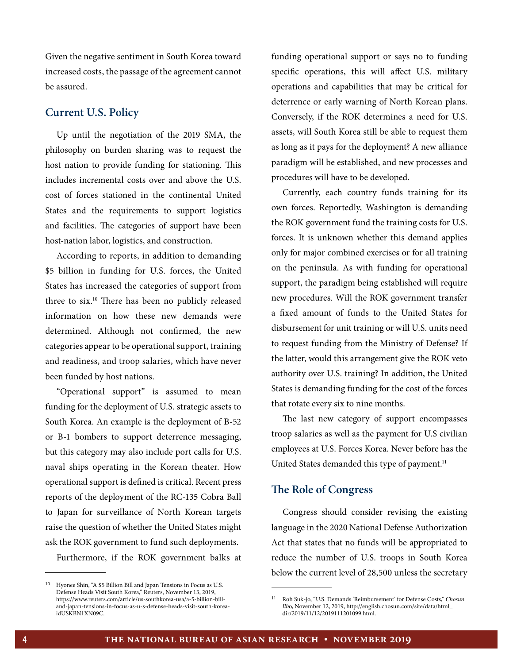Given the negative sentiment in South Korea toward increased costs, the passage of the agreement cannot be assured.

#### **Current U.S. Policy**

Up until the negotiation of the 2019 SMA, the philosophy on burden sharing was to request the host nation to provide funding for stationing. This includes incremental costs over and above the U.S. cost of forces stationed in the continental United States and the requirements to support logistics and facilities. The categories of support have been host-nation labor, logistics, and construction.

According to reports, in addition to demanding \$5 billion in funding for U.S. forces, the United States has increased the categories of support from three to six.10 There has been no publicly released information on how these new demands were determined. Although not confirmed, the new categories appear to be operational support, training and readiness, and troop salaries, which have never been funded by host nations.

"Operational support" is assumed to mean funding for the deployment of U.S. strategic assets to South Korea. An example is the deployment of B-52 or B-1 bombers to support deterrence messaging, but this category may also include port calls for U.S. naval ships operating in the Korean theater. How operational support is defined is critical. Recent press reports of the deployment of the RC-135 Cobra Ball to Japan for surveillance of North Korean targets raise the question of whether the United States might ask the ROK government to fund such deployments.

Furthermore, if the ROK government balks at

funding operational support or says no to funding specific operations, this will affect U.S. military operations and capabilities that may be critical for deterrence or early warning of North Korean plans. Conversely, if the ROK determines a need for U.S. assets, will South Korea still be able to request them as long as it pays for the deployment? A new alliance paradigm will be established, and new processes and procedures will have to be developed.

Currently, each country funds training for its own forces. Reportedly, Washington is demanding the ROK government fund the training costs for U.S. forces. It is unknown whether this demand applies only for major combined exercises or for all training on the peninsula. As with funding for operational support, the paradigm being established will require new procedures. Will the ROK government transfer a fixed amount of funds to the United States for disbursement for unit training or will U.S. units need to request funding from the Ministry of Defense? If the latter, would this arrangement give the ROK veto authority over U.S. training? In addition, the United States is demanding funding for the cost of the forces that rotate every six to nine months.

The last new category of support encompasses troop salaries as well as the payment for U.S civilian employees at U.S. Forces Korea. Never before has the United States demanded this type of payment.<sup>11</sup>

## **The Role of Congress**

Congress should consider revising the existing language in the 2020 National Defense Authorization Act that states that no funds will be appropriated to reduce the number of U.S. troops in South Korea below the current level of 28,500 unless the secretary

Hyonee Shin, "A \$5 Billion Bill and Japan Tensions in Focus as U.S. Defense Heads Visit South Korea," Reuters, November 13, 2019, https://www.reuters.com/article/us-southkorea-usa/a-5-billion-billand-japan-tensions-in-focus-as-u-s-defense-heads-visit-south-koreaidUSKBN1XN09C.

<sup>11</sup> Roh Suk-jo, "U.S. Demands 'Reimbursement' for Defense Costs," *Chosun Ilb*o, November 12, 2019, http://english.chosun.com/site/data/html\_ dir/2019/11/12/2019111201099.html.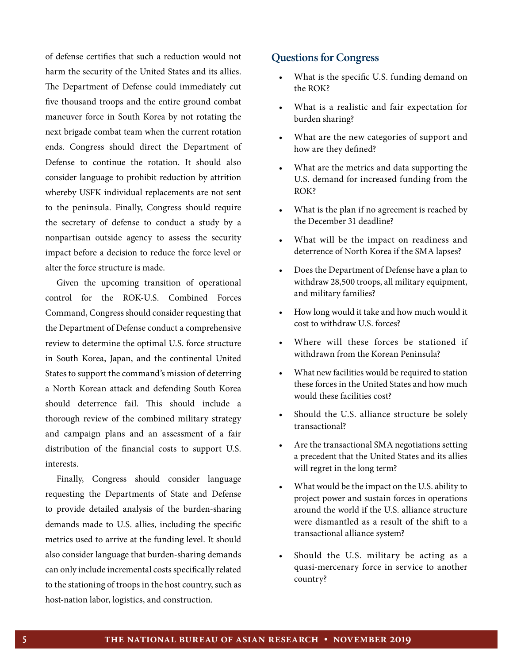of defense certifies that such a reduction would not harm the security of the United States and its allies. The Department of Defense could immediately cut five thousand troops and the entire ground combat maneuver force in South Korea by not rotating the next brigade combat team when the current rotation ends. Congress should direct the Department of Defense to continue the rotation. It should also consider language to prohibit reduction by attrition whereby USFK individual replacements are not sent to the peninsula. Finally, Congress should require the secretary of defense to conduct a study by a nonpartisan outside agency to assess the security impact before a decision to reduce the force level or alter the force structure is made.

Given the upcoming transition of operational control for the ROK-U.S. Combined Forces Command, Congress should consider requesting that the Department of Defense conduct a comprehensive review to determine the optimal U.S. force structure in South Korea, Japan, and the continental United States to support the command's mission of deterring a North Korean attack and defending South Korea should deterrence fail. This should include a thorough review of the combined military strategy and campaign plans and an assessment of a fair distribution of the financial costs to support U.S. interests.

Finally, Congress should consider language requesting the Departments of State and Defense to provide detailed analysis of the burden-sharing demands made to U.S. allies, including the specific metrics used to arrive at the funding level. It should also consider language that burden-sharing demands can only include incremental costs specifically related to the stationing of troops in the host country, such as host-nation labor, logistics, and construction.

#### **Questions for Congress**

- What is the specific U.S. funding demand on the ROK?
- What is a realistic and fair expectation for burden sharing?
- What are the new categories of support and how are they defined?
- What are the metrics and data supporting the U.S. demand for increased funding from the ROK?
- What is the plan if no agreement is reached by the December 31 deadline?
- What will be the impact on readiness and deterrence of North Korea if the SMA lapses?
- Does the Department of Defense have a plan to withdraw 28,500 troops, all military equipment, and military families?
- How long would it take and how much would it cost to withdraw U.S. forces?
- Where will these forces be stationed if withdrawn from the Korean Peninsula?
- What new facilities would be required to station these forces in the United States and how much would these facilities cost?
- Should the U.S. alliance structure be solely transactional?
- Are the transactional SMA negotiations setting a precedent that the United States and its allies will regret in the long term?
- What would be the impact on the U.S. ability to project power and sustain forces in operations around the world if the U.S. alliance structure were dismantled as a result of the shift to a transactional alliance system?
- Should the U.S. military be acting as a quasi-mercenary force in service to another country?